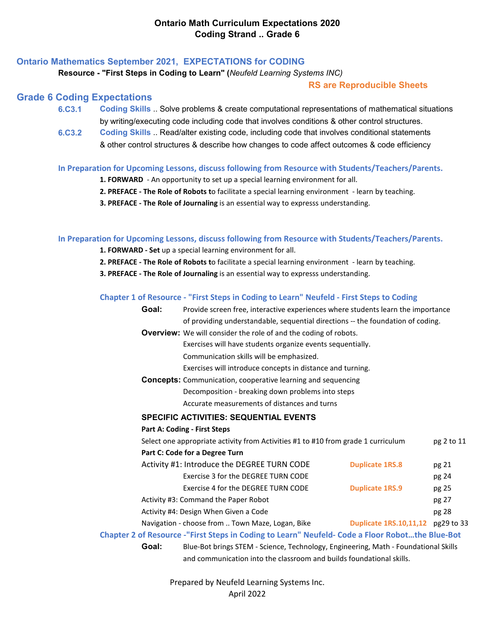### **Ontario Mathematics September 2021, EXPECTATIONS for CODING**

#### **Resource - "First Steps in Coding to Learn" (***Neufeld Learning Systems INC)*

#### **RS are Reproducible Sheets**

#### **Grade 6 Coding Expectations**

- **6.C3.1 Coding Skills** .. Solve problems & create computational representations of mathematical situations by writing/executing code including code that involves conditions & other control structures.
- **6.C3.2 [Coding Skills](https://www.dcp.edu.gov.on.ca/en/)** [.. Read/alter existing code, including code that involves conditional statements](https://www.dcp.edu.gov.on.ca/en/)  & other control structures & describe how changes to code affect outcomes & code efficiency

#### **In Preparation for Upcoming Lessons, discuss following from Resource with Students/Teachers/Parents.**

- **1. FORWARD** An opportunity to set up a special learning environment for all.
- **2. PREFACE The Role of Robots t**o facilitate a special learning environment learn by teaching.
- **3. PREFACE The Role of Journaling** is an essential way to expresss understanding.

#### **In Preparation for Upcoming Lessons, discuss following from Resource with Students/Teachers/Parents.**

- **1. FORWARD Set** up a special learning environment for all.
- **2. PREFACE The Role of Robots t**o facilitate a special learning environment learn by teaching.
- **3. PREFACE The Role of Journaling** is an essential way to expresss understanding.

#### **Chapter 1 of Resource - "First Steps in Coding to Learn" Neufeld - First Steps to Coding**

| Goal:                                                                | Provide screen free, interactive experiences where students learn the importance                                                  |  |                                   |            |  |  |
|----------------------------------------------------------------------|-----------------------------------------------------------------------------------------------------------------------------------|--|-----------------------------------|------------|--|--|
|                                                                      | of providing understandable, sequential directions -- the foundation of coding.                                                   |  |                                   |            |  |  |
|                                                                      | <b>Overview:</b> We will consider the role of and the coding of robots.                                                           |  |                                   |            |  |  |
|                                                                      | Exercises will have students organize events sequentially.                                                                        |  |                                   |            |  |  |
|                                                                      | Communication skills will be emphasized.                                                                                          |  |                                   |            |  |  |
|                                                                      | Exercises will introduce concepts in distance and turning.<br><b>Concepts:</b> Communication, cooperative learning and sequencing |  |                                   |            |  |  |
|                                                                      |                                                                                                                                   |  |                                   |            |  |  |
|                                                                      | Decomposition - breaking down problems into steps                                                                                 |  |                                   |            |  |  |
|                                                                      | Accurate measurements of distances and turns                                                                                      |  |                                   |            |  |  |
|                                                                      | <b>SPECIFIC ACTIVITIES: SEQUENTIAL EVENTS</b>                                                                                     |  |                                   |            |  |  |
|                                                                      | <b>Part A: Coding - First Steps</b>                                                                                               |  |                                   |            |  |  |
|                                                                      | Select one appropriate activity from Activities #1 to #10 from grade 1 curriculum                                                 |  |                                   | pg 2 to 11 |  |  |
|                                                                      | Part C: Code for a Degree Turn                                                                                                    |  |                                   |            |  |  |
|                                                                      | Activity #1: Introduce the DEGREE TURN CODE                                                                                       |  | <b>Duplicate 1RS.8</b>            | pg 21      |  |  |
|                                                                      | Exercise 3 for the DEGREE TURN CODE                                                                                               |  |                                   | pg 24      |  |  |
|                                                                      | Exercise 4 for the DEGREE TURN CODE                                                                                               |  | <b>Duplicate 1RS.9</b>            | pg 25      |  |  |
|                                                                      | Activity #3: Command the Paper Robot                                                                                              |  |                                   | pg 27      |  |  |
|                                                                      | Activity #4: Design When Given a Code                                                                                             |  |                                   | pg 28      |  |  |
|                                                                      | Navigation - choose from  Town Maze, Logan, Bike                                                                                  |  | Duplicate 1RS.10,11,12 pg29 to 33 |            |  |  |
|                                                                      | Chapter 2 of Resource -"First Steps in Coding to Learn" Neufeld- Code a Floor Robotthe Blue-Bot                                   |  |                                   |            |  |  |
| Goal:                                                                | Blue-Bot brings STEM - Science, Technology, Engineering, Math - Foundational Skills                                               |  |                                   |            |  |  |
| and communication into the classroom and builds foundational skills. |                                                                                                                                   |  |                                   |            |  |  |

Prepared by Neufeld Learning Systems Inc.

April 2022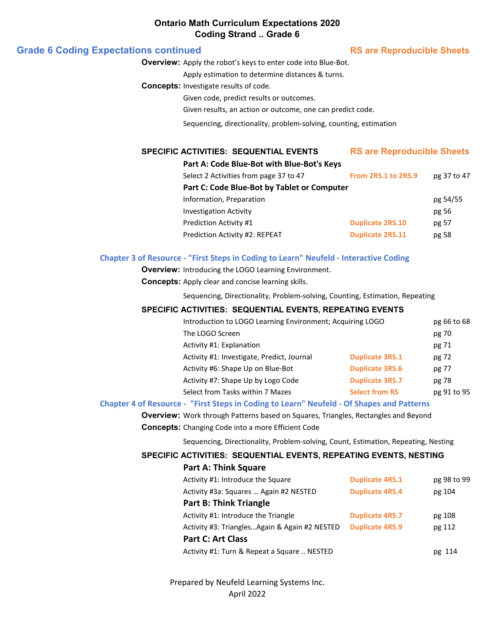#### **Ontario Math Curriculum Expectations 2020 Coding Strand .. Grade 6**

#### **Grade 6 Coding Expectations continued RS** are Reproducible Sheets

**Overview:** Apply the robot's keys to enter code into Blue-Bot.

Apply estimation to determine distances & turns.

**Concepts:** Investigate results of code.

Given code, predict results or outcomes.

Given results, an action or outcome, one can predict code.

Sequencing, directionality, problem-solving, counting, estimation

#### **SPECIFIC ACTIVITIES: SEQUENTIAL EVENTS**

**Part A: Code Blue-Bot with Blue-Bot's Keys**

|  |  | <b>RS are Reproducible Sheets</b> |
|--|--|-----------------------------------|
|  |  |                                   |

| <u>LALLA: COUC DIAC DOL WILLI DIAC DOL 3 ILCYS</u> |                         |             |
|----------------------------------------------------|-------------------------|-------------|
| Select 2 Activities from page 37 to 47             | From 2RS.1 to 2RS.9     | pg 37 to 47 |
| Part C: Code Blue-Bot by Tablet or Computer        |                         |             |
| Information, Preparation                           |                         | pg 54/55    |
| <b>Investigation Activity</b>                      |                         | pg 56       |
| <b>Prediction Activity #1</b>                      | <b>Duplicate 2RS.10</b> | pg 57       |
| Prediction Activity #2: REPEAT                     | <b>Duplicate 2RS.11</b> | pg 58       |
|                                                    |                         |             |

#### **Chapter 3 of Resource - "First Steps in Coding to Learn" Neufeld - Interactive Coding**

**Overview:** Introducing the LOGO Learning Environment.

**Concepts:** Apply clear and concise learning skills.

Sequencing, Directionality, Problem-solving, Counting, Estimation, Repeating

#### **SPECIFIC ACTIVITIES: SEQUENTIAL EVENTS, REPEATING EVENTS**

| Introduction to LOGO Learning Environment; Acquiring LOGO |                        | pg 66 to 68 |
|-----------------------------------------------------------|------------------------|-------------|
| The LOGO Screen                                           |                        | pg 70       |
| Activity #1: Explanation                                  |                        | pg 71       |
| Activity #1: Investigate, Predict, Journal                | <b>Duplicate 3RS.1</b> | pg 72       |
| Activity #6: Shape Up on Blue-Bot                         | <b>Duplicate 3RS.6</b> | pg 77       |
| Activity #7: Shape Up by Logo Code                        | <b>Duplicate 3RS.7</b> | pg 78       |
| Select from Tasks within 7 Mazes                          | <b>Select from RS</b>  | pg 91 to 95 |

#### **Chapter 4 of Resource - "First Steps in Coding to Learn" Neufeld - Of Shapes and Patterns**

**Overview:** Work through Patterns based on Squares, Triangles, Rectangles and Beyond

**Concepts:** Changing Code into a more Efficient Code

**Part A: Think Square**

Sequencing, Directionality, Problem-solving, Count, Estimation, Repeating, Nesting

#### **SPECIFIC ACTIVITIES: SEQUENTIAL EVENTS, REPEATING EVENTS, NESTING**

| Part A: Think Square                           |                        |             |
|------------------------------------------------|------------------------|-------------|
| Activity #1: Introduce the Square              | <b>Duplicate 4RS.1</b> | pg 98 to 99 |
| Activity #3a: Squares  Again #2 NESTED         | <b>Duplicate 4RS.4</b> | pg 104      |
| <b>Part B: Think Triangle</b>                  |                        |             |
| Activity #1: Introduce the Triangle            | <b>Duplicate 4RS.7</b> | pg 108      |
| Activity #3: Triangles Again & Again #2 NESTED | <b>Duplicate 4RS.9</b> | pg 112      |
| <b>Part C: Art Class</b>                       |                        |             |
| Activity #1: Turn & Repeat a Square  NESTED    |                        | pg 114      |
|                                                |                        |             |

Prepared by Neufeld Learning Systems Inc. April 2022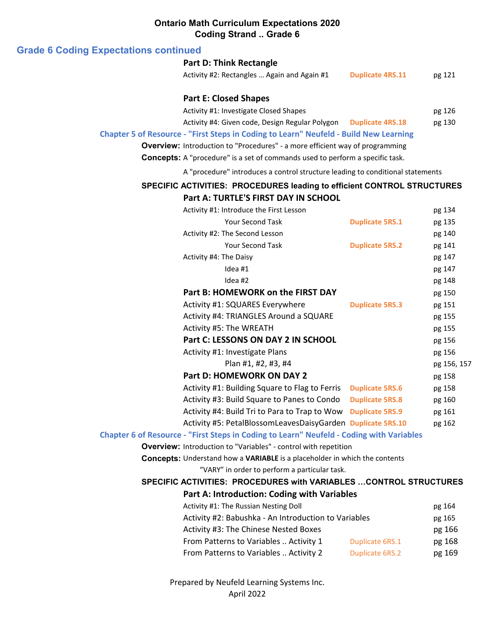## **Ontario Math Curriculum Expectations 2020 Coding Strand .. Grade 6**

#### **Grade 6 Coding Expectations continued**

# **Part D: Think Rectangle**

| Activity #2: Rectangles  Again and Again #1 | <b>Duplicate 4RS.11</b> | pg 121 |
|---------------------------------------------|-------------------------|--------|
|---------------------------------------------|-------------------------|--------|

#### **Part E: Closed Shapes**

Activity #1: Investigate Closed Shapes pg 126

Activity #4: Given code, Design Regular Polygon **Duplicate 4RS.18** pg 130

#### **Chapter 5 of Resource - "First Steps in Coding to Learn" Neufeld - Build New Learning**

**Overview:** Introduction to "Procedures" - a more efficient way of programming

**Concepts:** A "procedure" is a set of commands used to perform a specific task.

A "procedure" introduces a control structure leading to conditional statements

# **SPECIFIC ACTIVITIES: PROCEDURES leading to efficient CONTROL STRUCTURES**

# **Part A: TURTLE'S FIRST DAY IN SCHOOL**

| Activity #1: Introduce the First Lesson                                                  |                        | pg 134      |
|------------------------------------------------------------------------------------------|------------------------|-------------|
| Your Second Task                                                                         | <b>Duplicate 5RS.1</b> | pg 135      |
| Activity #2: The Second Lesson                                                           |                        | pg 140      |
| <b>Your Second Task</b>                                                                  | <b>Duplicate 5RS.2</b> | pg 141      |
| Activity #4: The Daisy                                                                   |                        | pg 147      |
| Idea #1                                                                                  |                        | pg 147      |
| Idea #2                                                                                  |                        | pg 148      |
| Part B: HOMEWORK on the FIRST DAY                                                        |                        | pg 150      |
| Activity #1: SQUARES Everywhere                                                          | <b>Duplicate 5RS.3</b> | pg 151      |
| Activity #4: TRIANGLES Around a SQUARE                                                   |                        | pg 155      |
| Activity #5: The WREATH                                                                  |                        | pg 155      |
| Part C: LESSONS ON DAY 2 IN SCHOOL                                                       |                        | pg 156      |
| Activity #1: Investigate Plans                                                           |                        | pg 156      |
| Plan #1, #2, #3, #4                                                                      |                        | pg 156, 157 |
| <b>Part D: HOMEWORK ON DAY 2</b>                                                         |                        | pg 158      |
| Activity #1: Building Square to Flag to Ferris                                           | <b>Duplicate 5RS.6</b> | pg 158      |
| Activity #3: Build Square to Panes to Condo                                              | <b>Duplicate 5RS.8</b> | pg 160      |
| Activity #4: Build Tri to Para to Trap to Wow Duplicate 5RS.9                            |                        | pg 161      |
| Activity #5: PetalBlossomLeavesDaisyGarden Duplicate 5RS.10                              |                        | pg 162      |
| Chapter 6 of Resource - "First Steps in Coding to Learn" Neufeld - Coding with Variables |                        |             |
| <b>Overview:</b> Introduction to "Variables" - control with repetition                   |                        |             |
| <b>Concepts:</b> Understand how a VARIABLE is a placeholder in which the contents        |                        |             |
| "VARY" in order to perform a particular task.                                            |                        |             |
| <b>SPECIFIC ACTIVITIES: PROCEDURES with VARIABLES  CONTROL STRUCTURES</b>                |                        |             |
| Part A: Introduction: Coding with Variables                                              |                        |             |
| Activity #1: The Russian Nesting Doll                                                    |                        | pg 164      |
| Activity #2: Babushka - An Introduction to Variables                                     |                        | pg 165      |

| Activity #2: Babushka - An Introduction to Variables |                 | pg 165 |
|------------------------------------------------------|-----------------|--------|
| Activity #3: The Chinese Nested Boxes                |                 | pg 166 |
| From Patterns to Variables  Activity 1               | Duplicate 6RS.1 | pg 168 |
| From Patterns to Variables  Activity 2               | Duplicate 6RS.2 | pg 169 |

Prepared by Neufeld Learning Systems Inc. April 2022